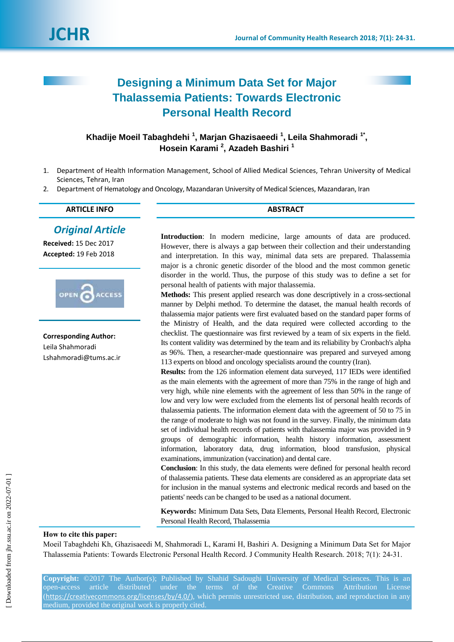# **Designing a Minimum Data Set for Major Thalassemia Patients: Towards Electronic Personal Health Record**

# Khadije Moeil Tabaghdehi<sup>1</sup>, Marjan Ghazisaeedi<sup>1</sup>, Leila Shahmoradi<sup>1\*</sup>, **Hosein Karami <sup>2</sup> , Azadeh Bashiri <sup>1</sup>**

- 1. Department of Health Information Management, School of Allied Medical Sciences, Tehran University of Medical Sciences, Tehran, Iran
- 2. Department of Hematology and Oncology, Mazandaran University of Medical Sciences, Mazandaran, Iran

| <b>ARTICLE INFO</b> |  |
|---------------------|--|
|                     |  |

*Original Article*

**Received:** 15 Dec 2017 **Accepted:** 19 Feb 2018



**Corresponding Author:** Leila Shahmoradi Lshahmoradi@tums.ac.ir **Introduction**: In modern medicine, large amounts of data are produced. However, there is always a gap between their collection and their understanding and interpretation. In this way, minimal data sets are prepared. Thalassemia major is a chronic genetic disorder of the blood and the most common genetic disorder in the world. Thus, the purpose of this study was to define a set for personal health of patients with major thalassemia.

**Methods:** This present applied research was done descriptively in a cross-sectional manner by Delphi method. To determine the dataset, the manual health records of thalassemia major patients were first evaluated based on the standard paper forms of the Ministry of Health, and the data required were collected according to the checklist. The questionnaire was first reviewed by a team of six experts in the field. Its content validity was determined by the team and its reliability by Cronbach's alpha as 96%. Then, a researcher-made questionnaire was prepared and surveyed among 113 experts on blood and oncology specialists around the country (Iran).

**Results:** from the 126 information element data surveyed, 117 IEDs were identified as the main elements with the agreement of more than 75% in the range of high and very high, while nine elements with the agreement of less than 50% in the range of low and very low were excluded from the elements list of personal health records of thalassemia patients. The information element data with the agreement of 50 to 75 in the range of moderate to high was not found in the survey. Finally, the minimum data set of individual health records of patients with thalassemia major was provided in 9 groups of demographic information, health history information, assessment information, laboratory data, drug information, blood transfusion, physical examinations, immunization (vaccination) and dental care.

**Conclusion**: In this study, the data elements were defined for personal health record of thalassemia patients. These data elements are considered as an appropriate data set for inclusion in the manual systems and electronic medical records and based on the patients' needs can be changed to be used as a national document.

**Keywords:** Minimum Data Sets, Data Elements, Personal Health Record, Electronic Personal Health Record, Thalassemia

### **How to cite this paper:**

Moeil Tabaghdehi Kh, Ghazisaeedi M, Shahmoradi L, Karami H, Bashiri A. Designing a Minimum Data Set for Major Thalassemia Patients: Towards Electronic Personal Health Record. J Community Health Research. 2018; 7(1): 24-31.

**Copyright:** ©2017 The Author(s); Published by Shahid Sadoughi University of Medical Sciences. This is an open-access article distributed under the terms of the Creative Commons Attribution License (<https://creativecommons.org/licenses/by/4.0/>), which permits unrestricted use, distribution, and reproduction in any medium, provided the original work is properly cited.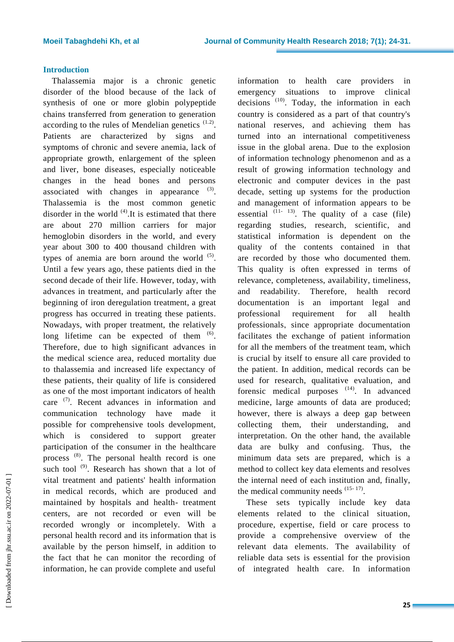## **Introduction**

Thalassemia major is a chronic genetic disorder of the blood because of the lack of synthesis of one or more globin polypeptide chains transferred from generation to generation according to the rules of Mendelian genetics  $(1.2)$ . Patients are characterized by signs and symptoms of chronic and severe anemia, lack of appropriate growth, enlargement of the spleen and liver, bone diseases, especially noticeable changes in the head bones and persons associated with changes in appearance  $(3)$ . Thalassemia is the most common genetic disorder in the world  $(4)$ . It is estimated that there are about 270 million carriers for major hemoglobin disorders in the world, and every year about 300 to 400 thousand children with types of anemia are born around the world  $(5)$ . Until a few years ago, these patients died in the second decade of their life. However, today, with advances in treatment, and particularly after the beginning of iron deregulation treatment, a great progress has occurred in treating these patients. Nowadays, with proper treatment, the relatively long lifetime can be expected of them  $(6)$ . Therefore, due to high significant advances in the medical science area, reduced mortality due to thalassemia and increased life expectancy of these patients, their quality of life is considered as one of the most important indicators of health care <sup>(7)</sup>. Recent advances in information and communication technology have made it possible for comprehensive tools development, which is considered to support greater participation of the consumer in the healthcare process (8). The personal health record is one such tool  $^{(9)}$ . Research has shown that a lot of vital treatment and patients' health information in medical records, which are produced and maintained by hospitals and health- treatment centers, are not recorded or even will be recorded wrongly or incompletely. With a personal health record and its information that is available by the person himself, in addition to the fact that he can monitor the recording of information, he can provide complete and useful

information to health care providers in emergency situations to improve clinical decisions  $(10)$ . Today, the information in each country is considered as a part of that country's national reserves, and achieving them has turned into an international competitiveness issue in the global arena. Due to the explosion of information technology phenomenon and as a result of growing information technology and electronic and computer devices in the past decade, setting up systems for the production and management of information appears to be essential  $(11 - 13)$ . The quality of a case (file) regarding studies, research, scientific, and statistical information is dependent on the quality of the contents contained in that are recorded by those who documented them. This quality is often expressed in terms of relevance, completeness, availability, timeliness, and readability. Therefore, health record documentation is an important legal and professional requirement for all health professionals, since appropriate documentation facilitates the exchange of patient information for all the members of the treatment team, which is crucial by itself to ensure all care provided to the patient. In addition, medical records can be used for research, qualitative evaluation, and forensic medical purposes  $(14)$ . In advanced medicine, large amounts of data are produced; however, there is always a deep gap between collecting them, their understanding, and interpretation. On the other hand, the available data are bulky and confusing. Thus, the minimum data sets are prepared, which is a method to collect key data elements and resolves the internal need of each institution and, finally, the medical community needs  $(15-17)$ .

These sets typically include key data elements related to the clinical situation, procedure, expertise, field or care process to provide a comprehensive overview of the relevant data elements. The availability of reliable data sets is essential for the provision of integrated health care. In information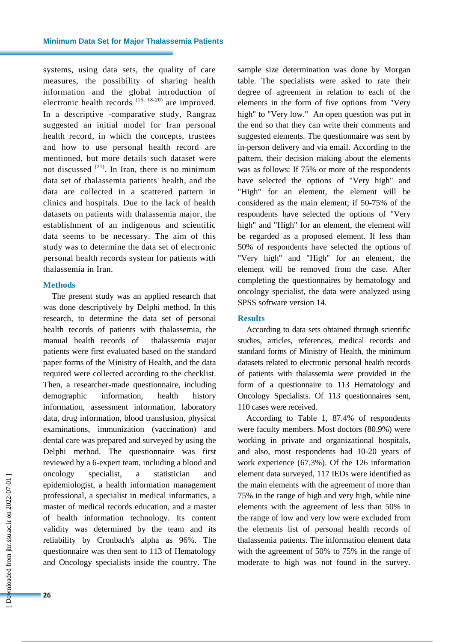systems, using data sets, the quality of care measures, the possibility of sharing health information and the global introduction of electronic health records (15, 18-20) are improved. In a descriptive -comparative study, Rangraz suggested an initial model for Iran personal health record, in which the concepts, trustees and how to use personal health record are mentioned, but more details such dataset were not discussed  $^{(21)}$ . In Iran, there is no minimum data set of thalassemia patients' health, and the data are collected in a scattered pattern in clinics and hospitals. Due to the lack of health datasets on patients with thalassemia major, the establishment of an indigenous and scientific data seems to be necessary. The aim of this study was to determine the data set of electronic personal health records system for patients with thalassemia in Iran.

#### **Methods**

The present study was an applied research that was done descriptively by Delphi method. In this research, to determine the data set of personal health records of patients with thalassemia, the manual health records of thalassemia major patients were first evaluated based on the standard paper forms of the Ministry of Health, and the data required were collected according to the checklist. Then, a researcher-made questionnaire, including demographic information, health history information, assessment information, laboratory data, drug information, blood transfusion, physical examinations, immunization (vaccination) and dental care was prepared and surveyed by using the Delphi method. The questionnaire was first reviewed by a 6-expert team, including a blood and oncology specialist, a statistician and epidemiologist, a health information management professional, a specialist in medical informatics, a master of medical records education, and a master of health information technology. Its content validity was determined by the team and its reliability by Cronbach's alpha as 96%. The questionnaire was then sent to 113 of Hematology and Oncology specialists inside the country. The

sample size determination was done by Morgan table. The specialists were asked to rate their degree of agreement in relation to each of the elements in the form of five options from "Very high" to "Very low." An open question was put in the end so that they can write their comments and suggested elements. The questionnaire was sent by in-person delivery and via email. According to the pattern, their decision making about the elements was as follows: If 75% or more of the respondents have selected the options of "Very high" and "High" for an element, the element will be considered as the main element; if 50-75% of the respondents have selected the options of "Very high" and "High" for an element, the element will be regarded as a proposed element. If less than 50% of respondents have selected the options of "Very high" and "High" for an element, the element will be removed from the case. After completing the questionnaires by hematology and oncology specialist, the data were analyzed using SPSS software version 14.

#### **Results**

According to data sets obtained through scientific studies, articles, references, medical records and standard forms of Ministry of Health, the minimum datasets related to electronic personal health records of patients with thalassemia were provided in the form of a questionnaire to 113 Hematology and Oncology Specialists. Of 113 questionnaires sent, 110 cases were received.

According to Table 1, 87.4% of respondents were faculty members. Most doctors (80.9%) were working in private and organizational hospitals, and also, most respondents had 10-20 years of work experience (67.3%). Of the 126 information element data surveyed, 117 IEDs were identified as the main elements with the agreement of more than 75% in the range of high and very high, while nine elements with the agreement of less than 50% in the range of low and very low were excluded from the elements list of personal health records of thalassemia patients. The information element data with the agreement of 50% to 75% in the range of moderate to high was not found in the survey.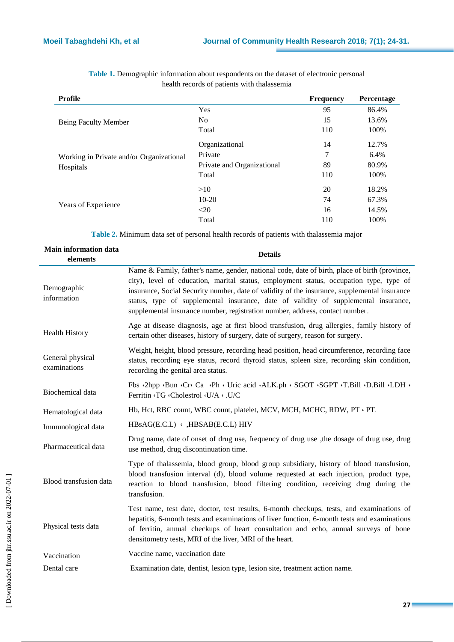| Profile                                  |                            | <b>Frequency</b> | Percentage |
|------------------------------------------|----------------------------|------------------|------------|
|                                          | <b>Yes</b>                 | 95               | 86.4%      |
| Being Faculty Member                     | No.                        | 15               | 13.6%      |
|                                          | Total                      | 110              | 100%       |
|                                          | Organizational             | 14               | 12.7%      |
| Working in Private and/or Organizational | Private                    | 7                | 6.4%       |
| Hospitals                                | Private and Organizational | 89               | 80.9%      |
|                                          | Total                      | 110              | 100%       |
|                                          | >10                        | 20               | 18.2%      |
|                                          | $10-20$                    | 74               | 67.3%      |
| Years of Experience                      | $20$                       | 16               | 14.5%      |
|                                          | Total                      | 110              | 100%       |

**Table 1.** Demographic information about respondents on the dataset of electronic personal health records of patients with thalassemia

**Table 2.** Minimum data set of personal health records of patients with thalassemia major

| <b>Main information data</b><br>elements | <b>Details</b>                                                                                                                                                                                                                                                                                                                                                                                                                                                 |
|------------------------------------------|----------------------------------------------------------------------------------------------------------------------------------------------------------------------------------------------------------------------------------------------------------------------------------------------------------------------------------------------------------------------------------------------------------------------------------------------------------------|
| Demographic<br>information               | Name & Family, father's name, gender, national code, date of birth, place of birth (province,<br>city), level of education, marital status, employment status, occupation type, type of<br>insurance, Social Security number, date of validity of the insurance, supplemental insurance<br>status, type of supplemental insurance, date of validity of supplemental insurance,<br>supplemental insurance number, registration number, address, contact number. |
| <b>Health History</b>                    | Age at disease diagnosis, age at first blood transfusion, drug allergies, family history of<br>certain other diseases, history of surgery, date of surgery, reason for surgery.                                                                                                                                                                                                                                                                                |
| General physical<br>examinations         | Weight, height, blood pressure, recording head position, head circumference, recording face<br>status, recording eye status, record thyroid status, spleen size, recording skin condition,<br>recording the genital area status.                                                                                                                                                                                                                               |
| Biochemical data                         | Fbs ·2hpp ·Bun ·Cr ·Ca ·Ph · Uric acid ·ALK.ph · SGOT ·SGPT ·T.Bill ·D.Bill ·LDH ·<br>Ferritin 'TG 'Cholestrol 'U/A . U/C                                                                                                                                                                                                                                                                                                                                      |
| Hematological data                       | Hb, Hct, RBC count, WBC count, platelet, MCV, MCH, MCHC, RDW, PT · PT.                                                                                                                                                                                                                                                                                                                                                                                         |
| Immunological data                       | HBsAG(E.C.L) . HBSAB(E.C.L) HIV                                                                                                                                                                                                                                                                                                                                                                                                                                |
| Pharmaceutical data                      | Drug name, date of onset of drug use, frequency of drug use, the dosage of drug use, drug<br>use method, drug discontinuation time.                                                                                                                                                                                                                                                                                                                            |
| Blood transfusion data                   | Type of thalassemia, blood group, blood group subsidiary, history of blood transfusion,<br>blood transfusion interval (d), blood volume requested at each injection, product type,<br>reaction to blood transfusion, blood filtering condition, receiving drug during the<br>transfusion.                                                                                                                                                                      |
| Physical tests data                      | Test name, test date, doctor, test results, 6-month checkups, tests, and examinations of<br>hepatitis, 6-month tests and examinations of liver function, 6-month tests and examinations<br>of ferritin, annual checkups of heart consultation and echo, annual surveys of bone<br>densitometry tests, MRI of the liver, MRI of the heart.                                                                                                                      |
| Vaccination                              | Vaccine name, vaccination date                                                                                                                                                                                                                                                                                                                                                                                                                                 |
| Dental care                              | Examination date, dentist, lesion type, lesion site, treatment action name.                                                                                                                                                                                                                                                                                                                                                                                    |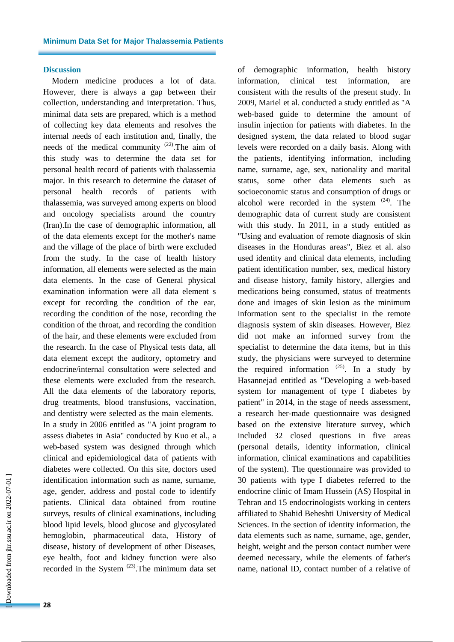#### **Discussion**

Modern medicine produces a lot of data. However, there is always a gap between their collection, understanding and interpretation. Thus, minimal data sets are prepared, which is a method of collecting key data elements and resolves the internal needs of each institution and, finally, the needs of the medical community  $(22)$ . The aim of this study was to determine the data set for personal health record of patients with thalassemia major. In this research to determine the dataset of personal health records of patients with thalassemia, was surveyed among experts on blood and oncology specialists around the country (Iran).In the case of demographic information, all of the data elements except for the mother's name and the village of the place of birth were excluded from the study. In the case of health history information, all elements were selected as the main data elements. In the case of General physical examination information were all data element s except for recording the condition of the ear, recording the condition of the nose, recording the condition of the throat, and recording the condition of the hair, and these elements were excluded from the research. In the case of Physical tests data, all data element except the auditory, optometry and endocrine/internal consultation were selected and these elements were excluded from the research. All the data elements of the laboratory reports, drug treatments, blood transfusions, vaccination, and dentistry were selected as the main elements. In a study in 2006 entitled as "A joint program to assess diabetes in Asia" conducted by Kuo et al., a web-based system was designed through which clinical and epidemiological data of patients with diabetes were collected. On this site, doctors used identification information such as name, surname, age, gender, address and postal code to identify patients. Clinical data obtained from routine surveys, results of clinical examinations, including blood lipid levels, blood glucose and glycosylated hemoglobin, pharmaceutical data, History of disease, history of development of other Diseases, eye health, foot and kidney function were also recorded in the System  $(23)$ . The minimum data set of demographic information, health history information, clinical test information, are consistent with the results of the present study. In 2009, Mariel et al. conducted a study entitled as "A web-based guide to determine the amount of insulin injection for patients with diabetes. In the designed system, the data related to blood sugar levels were recorded on a daily basis. Along with the patients, identifying information, including name, surname, age, sex, nationality and marital status, some other data elements such as socioeconomic status and consumption of drugs or alcohol were recorded in the system  $(24)$ . The demographic data of current study are consistent with this study. In 2011, in a study entitled as "Using and evaluation of remote diagnosis of skin diseases in the Honduras areas", Biez et al. also used identity and clinical data elements, including patient identification number, sex, medical history and disease history, family history, allergies and medications being consumed, status of treatments done and images of skin lesion as the minimum information sent to the specialist in the remote diagnosis system of skin diseases. However, Biez did not make an informed survey from the specialist to determine the data items, but in this study, the physicians were surveyed to determine the required information  $(25)$ . In a study by Hasannejad entitled as "Developing a web-based system for management of type I diabetes by patient" in 2014, in the stage of needs assessment, a research her-made questionnaire was designed based on the extensive literature survey, which included 32 closed questions in five areas (personal details, identity information, clinical information, clinical examinations and capabilities of the system). The questionnaire was provided to 30 patients with type I diabetes referred to the endocrine clinic of Imam Hussein (AS) Hospital in Tehran and 15 endocrinologists working in centers affiliated to Shahid Beheshti University of Medical Sciences. In the section of identity information, the data elements such as name, surname, age, gender, height, weight and the person contact number were deemed necessary, while the elements of father's name, national ID, contact number of a relative of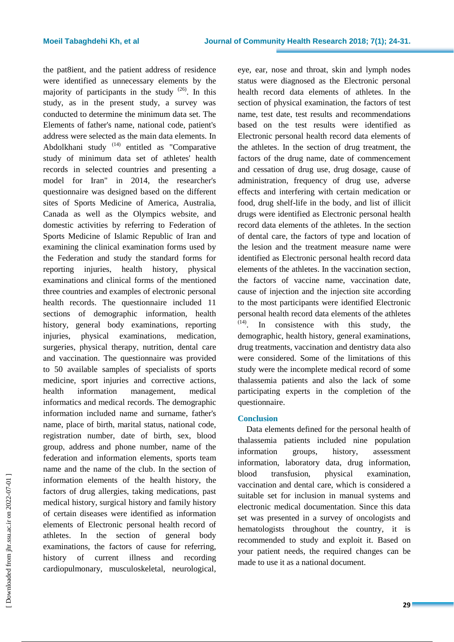the pat8ient, and the patient address of residence were identified as unnecessary elements by the majority of participants in the study  $(26)$ . In this study, as in the present study, a survey was conducted to determine the minimum data set. The Elements of father's name, national code, patient's address were selected as the main data elements. In Abdolkhani study <sup>(14)</sup> entitled as "Comparative study of minimum data set of athletes' health records in selected countries and presenting a model for Iran" in 2014, the researcher's questionnaire was designed based on the different sites of Sports Medicine of America, Australia, Canada as well as the Olympics website, and domestic activities by referring to Federation of Sports Medicine of Islamic Republic of Iran and examining the clinical examination forms used by the Federation and study the standard forms for reporting injuries, health history, physical examinations and clinical forms of the mentioned three countries and examples of electronic personal health records. The questionnaire included 11 sections of demographic information, health history, general body examinations, reporting injuries, physical examinations, medication, surgeries, physical therapy, nutrition, dental care and vaccination. The questionnaire was provided to 50 available samples of specialists of sports medicine, sport injuries and corrective actions, health information management, medical informatics and medical records. The demographic information included name and surname, father's name, place of birth, marital status, national code, registration number, date of birth, sex, blood group, address and phone number, name of the federation and information elements, sports team name and the name of the club. In the section of information elements of the health history, the factors of drug allergies, taking medications, past medical history, surgical history and family history of certain diseases were identified as information elements of Electronic personal health record of athletes. In the section of general body examinations, the factors of cause for referring, history of current illness and recording cardiopulmonary, musculoskeletal, neurological,

eye, ear, nose and throat, skin and lymph nodes status were diagnosed as the Electronic personal health record data elements of athletes. In the section of physical examination, the factors of test name, test date, test results and recommendations based on the test results were identified as Electronic personal health record data elements of the athletes. In the section of drug treatment, the factors of the drug name, date of commencement and cessation of drug use, drug dosage, cause of administration, frequency of drug use, adverse effects and interfering with certain medication or food, drug shelf-life in the body, and list of illicit drugs were identified as Electronic personal health record data elements of the athletes. In the section of dental care, the factors of type and location of the lesion and the treatment measure name were identified as Electronic personal health record data elements of the athletes. In the vaccination section, the factors of vaccine name, vaccination date, cause of injection and the injection site according to the most participants were identified Electronic personal health record data elements of the athletes (14) . In consistence with this study, the demographic, health history, general examinations, drug treatments, vaccination and dentistry data also were considered. Some of the limitations of this study were the incomplete medical record of some thalassemia patients and also the lack of some participating experts in the completion of the questionnaire.

### **Conclusion**

Data elements defined for the personal health of thalassemia patients included nine population information groups, history, assessment information, laboratory data, drug information, blood transfusion, physical examination, vaccination and dental care, which is considered a suitable set for inclusion in manual systems and electronic medical documentation. Since this data set was presented in a survey of oncologists and hematologists throughout the country, it is recommended to study and exploit it. Based on your patient needs, the required changes can be made to use it as a national document.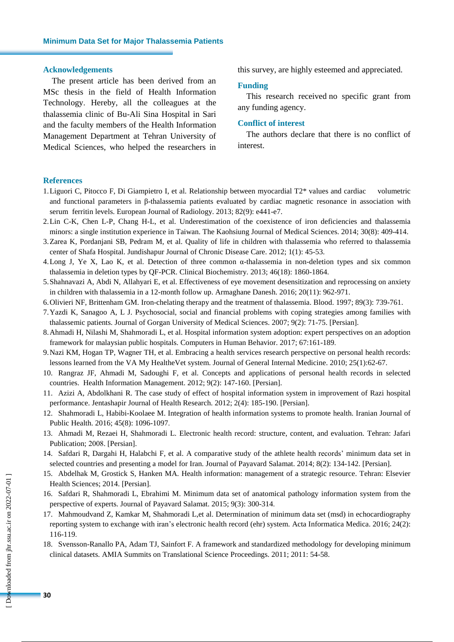#### **Acknowledgements**

The present article has been derived from an MSc thesis in the field of Health Information Technology. Hereby, all the colleagues at the thalassemia clinic of Bu-Ali Sina Hospital in Sari and the faculty members of the Health Information Management Department at Tehran University of Medical Sciences, who helped the researchers in this survey, are highly esteemed and appreciated.

#### **Funding**

This research received no specific grant from any funding agency.

#### **Conflict of interest**

The authors declare that there is no conflict of interest.

#### **References**

- 1.Liguori C, Pitocco F, Di Giampietro I, et al. Relationship between myocardial T2\* values and cardiac volumetric and functional parameters in β-thalassemia patients evaluated by cardiac magnetic resonance in association with serum ferritin levels. European Journal of Radiology. 2013; 82(9): e441-e7.
- 2.Lin C-K, Chen L-P, Chang H-L, et al. Underestimation of the coexistence of iron deficiencies and thalassemia minors: a single institution experience in Taiwan. The Kaohsiung Journal of Medical Sciences. 2014; 30(8): 409-414.
- 3.Zarea K, Pordanjani SB, Pedram M, et al. Quality of life in children with thalassemia who referred to thalassemia center of Shafa Hospital. Jundishapur Journal of Chronic Disease Care. 2012; 1(1): 45-53.
- 4.Long J, Ye X, Lao K, et al. Detection of three common α-thalassemia in non-deletion types and six common thalassemia in deletion types by QF-PCR. Clinical Biochemistry. 2013; 46(18): 1860-1864.
- 5.Shahnavazi A, Abdi N, Allahyari E, et al. Effectiveness of eye movement desensitization and reprocessing on anxiety in children with thalassemia in a 12-month follow up. Armaghane Danesh. 2016; 20(11): 962-971.
- 6.Olivieri NF, Brittenham GM. Iron-chelating therapy and the treatment of thalassemia. Blood. 1997; 89(3): 739-761.
- 7.Yazdi K, Sanagoo A, L J. [Psychosocial,](https://goums.ac.ir/journal/article-1-266-en.pdf) social and financial problems with coping strategies among families with [thalassemic](https://goums.ac.ir/journal/article-1-266-en.pdf) patients. Journal of Gorgan University of Medical Sciences. 2007; 9(2): 71-75. [Persian].
- 8.Ahmadi H, Nilashi M, Shahmoradi L, et al. Hospital information system adoption: expert perspectives on an adoption framework for malaysian public hospitals. Computers in Human Behavior. 2017; 67:161-189.
- 9.Nazi KM, Hogan TP, Wagner TH, et al. Embracing a health services research perspective on personal health records: lessons learned from the VA My HealtheVet system. Journal of General Internal Medicine. 2010; 25(1):62-67.
- 10. Rangraz JF, Ahmadi M, Sadoughi F, et al. Concepts and applications of personal health records in selected countries. Health Information [Management.](http://www.sid.ir/En/Journal/JournalList.aspx?ID=8003) 2012; 9(2): 147-160. [Persian].
- 11. Azizi A, Abdolkhani R. The case study of effect of hospital information system in improvement of Razi hospital performance. Jentashapir Journal of Health Research. 2012; 2(4): 185-190. [Persian].
- 12. Shahmoradi L, Habibi-Koolaee M. Integration of health information systems to promote health. Iranian Journal of Public Health. 2016; 45(8): 1096-1097.
- 13. Ahmadi M, Rezaei H, Shahmoradi L. Electronic health record: structure, content, and evaluation. Tehran: Jafari Publication; 2008. [Persian].
- 14. Safdari R, Dargahi H, Halabchi F, et al. A comparative study of the athlete health records' minimum data set in selected countries and presenting a model for Iran. Journal of Payavard Salamat. 2014; 8(2): 134-142. [Persian].
- 15. Abdelhak M, Grostick S, Hanken MA. Health information: management of a strategic resource. Tehran: Elsevier Health Sciences; 2014. [Persian].
- 16. Safdari R, Shahmoradi L, Ebrahimi M. Minimum data set of anatomical pathology information system from the perspective of experts. Journal of Payavard Salamat. 2015; 9(3): 300-314.
- 17. Mahmoudvand Z, Kamkar M, Shahmoradi L,et al. Determination of minimum data set (msd) in echocardiography reporting system to exchange with iran's electronic health record (ehr) system. Acta Informatica Medica. 2016; 24(2): 116-119.
- 18. Svensson-Ranallo PA, Adam TJ, Sainfort F. A framework and standardized methodology for developing minimum clinical datasets. AMIA Summits on Translational Science Proceedings. 2011; 2011: 54-58.